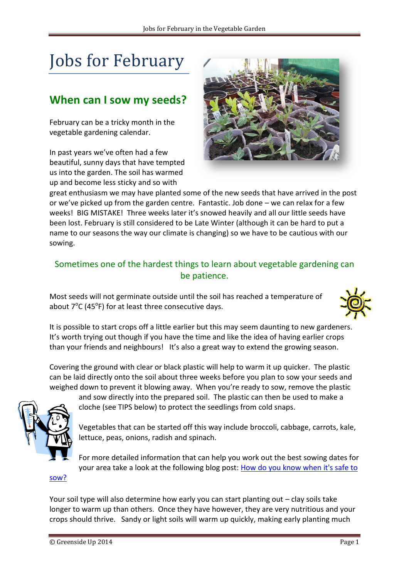# Jobs for February

### **When can I sow my seeds?**

February can be a tricky month in the vegetable gardening calendar.

In past years we've often had a few beautiful, sunny days that have tempted us into the garden. The soil has warmed up and become less sticky and so with



great enthusiasm we may have planted some of the new seeds that have arrived in the post or we've picked up from the garden centre. Fantastic. Job done – we can relax for a few weeks! BIG MISTAKE! Three weeks later it's snowed heavily and all our little seeds have been lost. February is still considered to be Late Winter (although it can be hard to put a name to our seasons the way our climate is changing) so we have to be cautious with our sowing.

#### Sometimes one of the hardest things to learn about vegetable gardening can be patience.

Most seeds will not germinate outside until the soil has reached a temperature of about  $7^{\circ}$ C (45<sup>o</sup>F) for at least three consecutive days.



It is possible to start crops off a little earlier but this may seem daunting to new gardeners. It's worth trying out though if you have the time and like the idea of having earlier crops than your friends and neighbours! It's also a great way to extend the growing season.

Covering the ground with clear or black plastic will help to warm it up quicker. The plastic can be laid directly onto the soil about three weeks before you plan to sow your seeds and weighed down to prevent it blowing away. When you're ready to sow, remove the plastic



and sow directly into the prepared soil. The plastic can then be used to make a cloche (see TIPS below) to protect the seedlings from cold snaps.

Vegetables that can be started off this way include broccoli, cabbage, carrots, kale, lettuce, peas, onions, radish and spinach.

For more detailed information that can help you work out the best sowing dates for your area take a look at the following blog post: [How do you know when it's safe to](http://greensideup.ie/seeds-how-do-you-know-when-its-safe-to-sow/) 

[sow?](http://greensideup.ie/seeds-how-do-you-know-when-its-safe-to-sow/)

Your soil type will also determine how early you can start planting out – clay soils take longer to warm up than others. Once they have however, they are very nutritious and your crops should thrive. Sandy or light soils will warm up quickly, making early planting much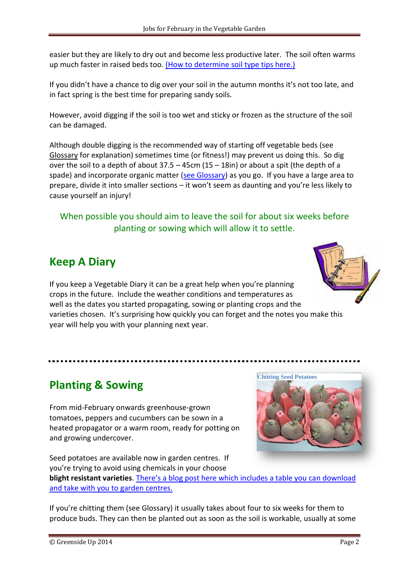easier but they are likely to dry out and become less productive later. The soil often warms up much faster in raised beds too. (How to determine [soil type tips here.\)](http://greensideup.ie/soil-texture/)

If you didn't have a chance to dig over your soil in the autumn months it's not too late, and in fact spring is the best time for preparing sandy soils.

However, avoid digging if the soil is too wet and sticky or frozen as the structure of the soil can be damaged.

Although double digging is the recommended way of starting off vegetable beds (see Glossary for explanation) sometimes time (or fitness!) may prevent us doing this. So dig over the soil to a depth of about  $37.5 - 45$ cm  $(15 - 18$ in) or about a spit (the depth of a spade) and incorporate organic matter [\(see Glossary\)](http://greensideup.ie/media/Glossary.pdf) as you go. If you have a large area to prepare, divide it into smaller sections – it won't seem as daunting and you're less likely to cause yourself an injury!

#### When possible you should aim to leave the soil for about six weeks before planting or sowing which will allow it to settle.

## **Keep A Diary**

If you keep a Vegetable Diary it can be a great help when you're planning crops in the future. Include the weather conditions and temperatures as well as the dates you started propagating, sowing or planting crops and the varieties chosen. It's surprising how quickly you can forget and the notes you make this year will help you with your planning next year.

## **Planting & Sowing**

From mid-February onwards greenhouse-grown tomatoes, peppers and cucumbers can be sown in a heated propagator or a warm room, ready for potting on and growing undercover.

Seed potatoes are available now in garden centres. If you're trying to avoid using chemicals in your choose **blight resistant varieties**. [There's a blog post here which includes a table you ca](http://greensideup.ie/blight-resistant-potatoes/)n download [and take with you to garden centres.](http://greensideup.ie/blight-resistant-potatoes/)

If you're chitting them (see Glossary) it usually takes about four to six weeks for them to produce buds. They can then be planted out as soon as the soil is workable, usually at some